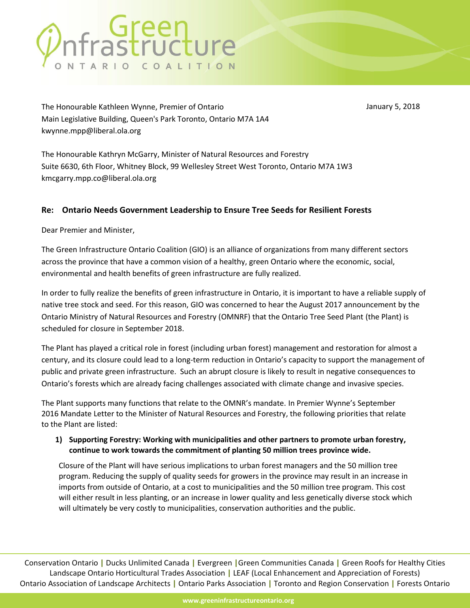# nfrastructure

January 5, 2018

The Honourable Kathleen Wynne, Premier of Ontario Main Legislative Building, Queen's Park Toronto, Ontario M7A 1A4 kwynne.mpp@liberal.ola.org

The Honourable Kathryn McGarry, Minister of Natural Resources and Forestry Suite 6630, 6th Floor, Whitney Block, 99 Wellesley Street West Toronto, Ontario M7A 1W3 kmcgarry.mpp.co@liberal.ola.org

### **Re: Ontario Needs Government Leadership to Ensure Tree Seeds for Resilient Forests**

Dear Premier and Minister,

The Green Infrastructure Ontario Coalition (GIO) is an alliance of organizations from many different sectors across the province that have a common vision of a healthy, green Ontario where the economic, social, environmental and health benefits of green infrastructure are fully realized.

In order to fully realize the benefits of green infrastructure in Ontario, it is important to have a reliable supply of native tree stock and seed. For this reason, GIO was concerned to hear the August 2017 announcement by the Ontario Ministry of Natural Resources and Forestry (OMNRF) that the Ontario Tree Seed Plant (the Plant) is scheduled for closure in September 2018.

The Plant has played a critical role in forest (including urban forest) management and restoration for almost a century, and its closure could lead to a long-term reduction in Ontario's capacity to support the management of public and private green infrastructure. Such an abrupt closure is likely to result in negative consequences to Ontario's forests which are already facing challenges associated with climate change and invasive species.

The Plant supports many functions that relate to the OMNR's mandate. In Premier Wynne's September 2016 Mandate Letter to the Minister of Natural Resources and Forestry, the following priorities that relate to the Plant are listed:

#### **1) Supporting Forestry: Working with municipalities and other partners to promote urban forestry, continue to work towards the commitment of planting 50 million trees province wide.**

Closure of the Plant will have serious implications to urban forest managers and the 50 million tree program. Reducing the supply of quality seeds for growers in the province may result in an increase in imports from outside of Ontario, at a cost to municipalities and the 50 million tree program. This cost will either result in less planting, or an increase in lower quality and less genetically diverse stock which will ultimately be very costly to municipalities, conservation authorities and the public.

Conservation Ontario **|** Ducks Unlimited Canada **|** Evergreen **|**Green Communities Canada **|** Green Roofs for Healthy Cities Landscape Ontario Horticultural Trades Association **|** LEAF (Local Enhancement and Appreciation of Forests) Ontario Association of Landscape Architects **|** Ontario Parks Association **|** Toronto and Region Conservation **|** Forests Ontario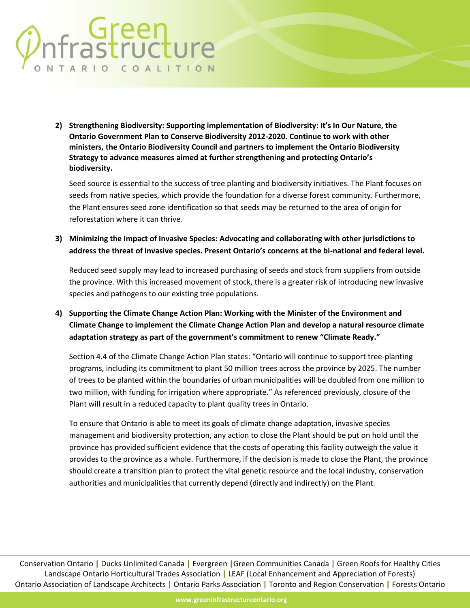## oreen<br>
astructure ONTARIO COALITION

**2) Strengthening Biodiversity: Supporting implementation of Biodiversity: It's In Our Nature, the Ontario Government Plan to Conserve Biodiversity 2012-2020. Continue to work with other ministers, the Ontario Biodiversity Council and partners to implement the Ontario Biodiversity Strategy to advance measures aimed at further strengthening and protecting Ontario's biodiversity.**

Seed source is essential to the success of tree planting and biodiversity initiatives. The Plant focuses on seeds from native species, which provide the foundation for a diverse forest community. Furthermore, the Plant ensures seed zone identification so that seeds may be returned to the area of origin for reforestation where it can thrive.

**3) Minimizing the Impact of Invasive Species: Advocating and collaborating with other jurisdictions to address the threat of invasive species. Present Ontario's concerns at the bi-national and federal level.**

Reduced seed supply may lead to increased purchasing of seeds and stock from suppliers from outside the province. With this increased movement of stock, there is a greater risk of introducing new invasive species and pathogens to our existing tree populations.

**4) Supporting the Climate Change Action Plan: Working with the Minister of the Environment and Climate Change to implement the Climate Change Action Plan and develop a natural resource climate adaptation strategy as part of the government's commitment to renew "Climate Ready."**

Section 4.4 of the Climate Change Action Plan states: "Ontario will continue to support tree-planting programs, including its commitment to plant 50 million trees across the province by 2025. The number of trees to be planted within the boundaries of urban municipalities will be doubled from one million to two million, with funding for irrigation where appropriate." As referenced previously, closure of the Plant will result in a reduced capacity to plant quality trees in Ontario.

To ensure that Ontario is able to meet its goals of climate change adaptation, invasive species management and biodiversity protection, any action to close the Plant should be put on hold until the province has provided sufficient evidence that the costs of operating this facility outweigh the value it provides to the province as a whole. Furthermore, if the decision is made to close the Plant, the province should create a transition plan to protect the vital genetic resource and the local industry, conservation authorities and municipalities that currently depend (directly and indirectly) on the Plant.

Conservation Ontario **|** Ducks Unlimited Canada **|** Evergreen **|**Green Communities Canada **|** Green Roofs for Healthy Cities Landscape Ontario Horticultural Trades Association **|** LEAF (Local Enhancement and Appreciation of Forests) Ontario Association of Landscape Architects **|** Ontario Parks Association **|** Toronto and Region Conservation **|** Forests Ontario